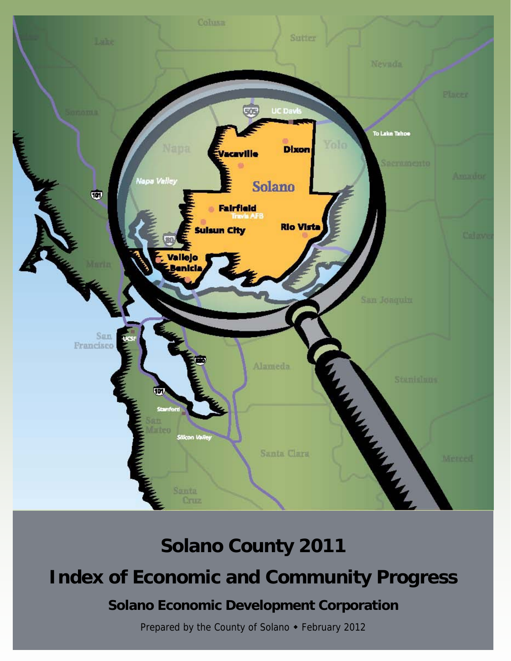

# **Solano County 2011**

## **Index of Economic and Community Progress**

## **Solano Economic Development Corporation**

Prepared by the County of Solano • February 2012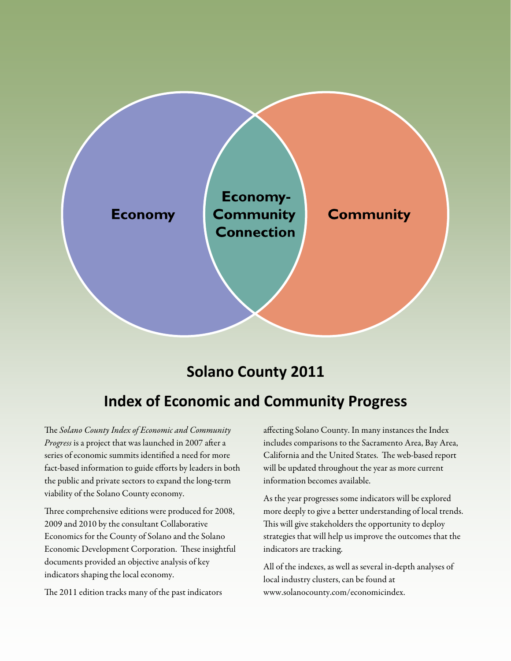

## **Solano County 2011**

## **Index of Economic and Community Progress**

The Solano County Index of Economic and Community Progress is a project that was launched in 2007 after a series of economic summits identified a need for more fact-based information to guide efforts by leaders in both the public and private sectors to expand the long-term viability of the Solano County economy.

Three comprehensive editions were produced for 2008, 2009 and 2010 by the consultant Collaborative Economics for the County of Solano and the Solano Economic Development Corporation. These insightful documents provided an objective analysis of key indicators shaping the local economy.

The 2011 edition tracks many of the past indicators

affecting Solano County. In many instances the Index includes comparisons to the Sacramento Area, Bay Area, California and the United States. The web-based report will be updated throughout the year as more current information becomes available.

As the year progresses some indicators will be explored more deeply to give a better understanding of local trends. This will give stakeholders the opportunity to deploy strategies that will help us improve the outcomes that the indicators are tracking.

All of the indexes, as well as several in-depth analyses of local industry clusters, can be found at www.solanocounty.com/economicindex.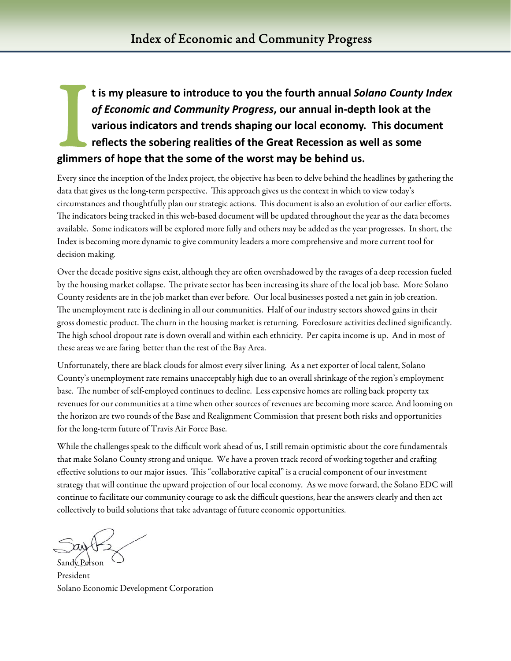## I tis my pleasure to introduce to you the fourth annual *Solano County Index of Economic and Community Progress,* our annual in-depth look at the various indicators and trends shaping our local economy. This document refle *of Economic and Community Progress***, our annual in‐depth look at the various indicators and trends shaping our local economy. This document reflects the sobering realities of the Great Recession as well as some glimmers of hope that the some of the worst may be behind us.**

Every since the inception of the Index project, the objective has been to delve behind the headlines by gathering the data that gives us the long-term perspective. This approach gives us the context in which to view today's circumstances and thoughtfully plan our strategic actions. This document is also an evolution of our earlier efforts. The indicators being tracked in this web-based document will be updated throughout the year as the data becomes available. Some indicators will be explored more fully and others may be added as the year progresses. In short, the Index is becoming more dynamic to give community leaders a more comprehensive and more current tool for decision making.

Over the decade positive signs exist, although they are often overshadowed by the ravages of a deep recession fueled by the housing market collapse. The private sector has been increasing its share of the local job base. More Solano County residents are in the job market than ever before. Our local businesses posted a net gain in job creation. The unemployment rate is declining in all our communities. Half of our industry sectors showed gains in their gross domestic product. The churn in the housing market is returning. Foreclosure activities declined significantly. The high school dropout rate is down overall and within each ethnicity. Per capita income is up. And in most of these areas we are faring better than the rest of the Bay Area.

Unfortunately, there are black clouds for almost every silver lining. As a net exporter of local talent, Solano County's unemployment rate remains unacceptably high due to an overall shrinkage of the region's employment base. The number of self-employed continues to decline. Less expensive homes are rolling back property tax revenues for our communities at a time when other sources of revenues are becoming more scarce. And looming on the horizon are two rounds of the Base and Realignment Commission that present both risks and opportunities for the long-term future of Travis Air Force Base.

While the challenges speak to the difficult work ahead of us, I still remain optimistic about the core fundamentals that make Solano County strong and unique. We have a proven track record of working together and crafting effective solutions to our major issues. This "collaborative capital" is a crucial component of our investment strategy that will continue the upward projection of our local economy. As we move forward, the Solano EDC will continue to facilitate our community courage to ask the difficult questions, hear the answers clearly and then act collectively to build solutions that take advantage of future economic opportunities.

Sandy Person

President Solano Economic Development Corporation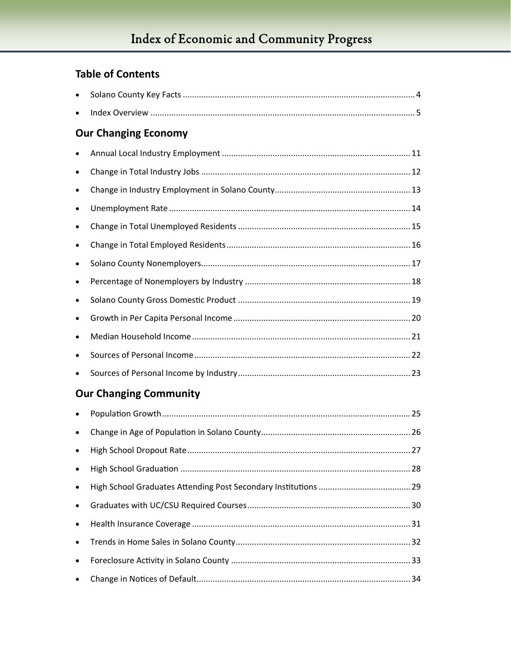### **Table of Contents**

|           | <b>Our Changing Economy</b>   |
|-----------|-------------------------------|
|           |                               |
|           |                               |
| ٠         |                               |
| $\bullet$ |                               |
|           |                               |
| $\bullet$ |                               |
| $\bullet$ |                               |
|           |                               |
| $\bullet$ |                               |
| $\bullet$ |                               |
|           |                               |
|           |                               |
|           |                               |
|           | <b>Our Changing Community</b> |
| $\bullet$ |                               |
| $\bullet$ |                               |
|           |                               |
|           |                               |
|           |                               |
| $\bullet$ |                               |
| $\bullet$ |                               |
| ٠         |                               |
|           |                               |
|           |                               |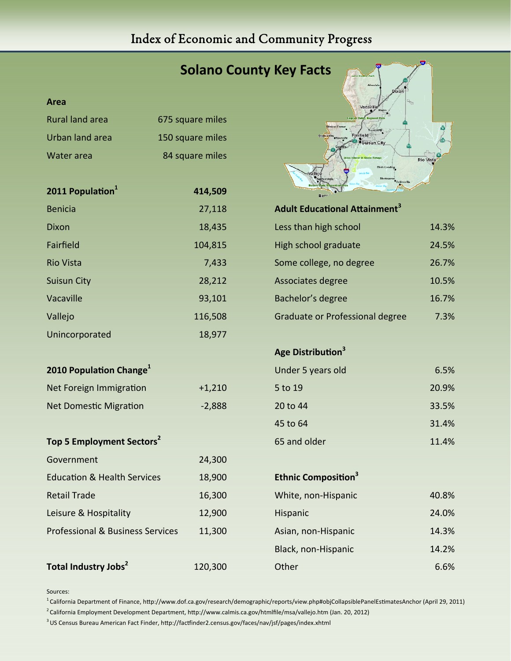## Index of Economic and Community Progress

|                                             |                  | <b>Solano County Key Facts</b>                               |           |
|---------------------------------------------|------------------|--------------------------------------------------------------|-----------|
| Area                                        |                  | Dixol<br>Vacavill                                            |           |
| <b>Rural land area</b>                      | 675 square miles |                                                              |           |
| <b>Urban land area</b>                      | 150 square miles | lankas Corne<br>ravis AFI<br><b>Fairfield</b><br>Suisun City |           |
| Water area                                  | 84 square miles  | <b>Birds Land</b>                                            | Rio Vista |
| 2011 Population <sup>1</sup>                | 414,509          |                                                              |           |
| <b>Benicia</b>                              | 27,118           | <b>Adult Educational Attainment<sup>3</sup></b>              |           |
| Dixon                                       | 18,435           | Less than high school                                        | 14.3%     |
| Fairfield                                   | 104,815          | High school graduate                                         | 24.5%     |
| <b>Rio Vista</b>                            | 7,433            | Some college, no degree                                      | 26.7%     |
| <b>Suisun City</b>                          | 28,212           | Associates degree                                            | 10.5%     |
| Vacaville                                   | 93,101           | Bachelor's degree                                            | 16.7%     |
| Vallejo                                     | 116,508          | Graduate or Professional degree                              | 7.3%      |
| Unincorporated                              | 18,977           |                                                              |           |
|                                             |                  | Age Distribution <sup>3</sup>                                |           |
| 2010 Population Change <sup>1</sup>         |                  | Under 5 years old                                            | 6.5%      |
| Net Foreign Immigration                     | $+1,210$         | 5 to 19                                                      | 20.9%     |
| <b>Net Domestic Migration</b>               | $-2,888$         | 20 to 44                                                     | 33.5%     |
|                                             |                  | 45 to 64                                                     | 31.4%     |
| Top 5 Employment Sectors <sup>2</sup>       |                  | 65 and older                                                 | 11.4%     |
| Government                                  | 24,300           |                                                              |           |
| <b>Education &amp; Health Services</b>      | 18,900           | <b>Ethnic Composition</b> <sup>3</sup>                       |           |
| <b>Retail Trade</b>                         | 16,300           | White, non-Hispanic                                          | 40.8%     |
| Leisure & Hospitality                       | 12,900           | Hispanic                                                     | 24.0%     |
| <b>Professional &amp; Business Services</b> | 11,300           | Asian, non-Hispanic                                          | 14.3%     |
|                                             |                  | Black, non-Hispanic                                          | 14.2%     |
| Total Industry Jobs <sup>2</sup>            | 120,300          | Other                                                        | 6.6%      |

Sources:

 $1$ California Department of Finance, http://www.dof.ca.gov/research/demographic/reports/view.php#objCollapsiblePanelEstimatesAnchor (April 29, 2011)

 $2$  California Employment Development Department, http://www.calmis.ca.gov/htmlfile/msa/vallejo.htm (Jan. 20, 2012)

 $3$  US Census Bureau American Fact Finder, http://factfinder2.census.gov/faces/nav/jsf/pages/index.xhtml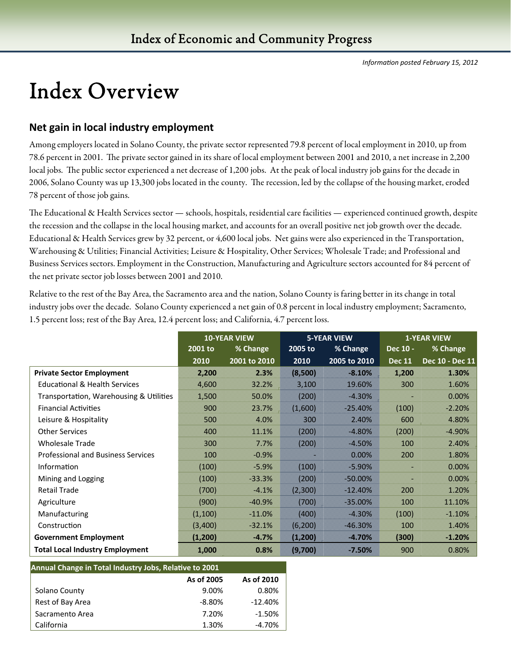# Index Overview

#### **Net gain in local industry employment**

Among employers located in Solano County, the private sector represented 79.8 percent of local employment in 2010, up from 78.6 percent in 2001. The private sector gained in its share of local employment between 2001 and 2010, a net increase in 2,200 local jobs. The public sector experienced a net decrease of 1,200 jobs. At the peak of local industry job gains for the decade in 2006, Solano County was up 13,300 jobs located in the county. The recession, led by the collapse of the housing market, eroded 78 percent of those job gains.

The Educational & Health Services sector — schools, hospitals, residential care facilities — experienced continued growth, despite the recession and the collapse in the local housing market, and accounts for an overall positive net job growth over the decade. Educational & Health Services grew by 32 percent, or 4,600 local jobs. Net gains were also experienced in the Transportation, Warehousing & Utilities; Financial Activities; Leisure & Hospitality, Other Services; Wholesale Trade; and Professional and Business Services sectors. Employment in the Construction, Manufacturing and Agriculture sectors accounted for 84 percent of the net private sector job losses between 2001 and 2010.

Relative to the rest of the Bay Area, the Sacramento area and the nation, Solano County is faring better in its change in total industry jobs over the decade. Solano County experienced a net gain of 0.8 percent in local industry employment; Sacramento, 1.5 percent loss; rest of the Bay Area, 12.4 percent loss; and California, 4.7 percent loss.

|                                           | <b>10-YEAR VIEW</b> |              | <b>5-YEAR VIEW</b> |              | <b>1-YEAR VIEW</b> |                 |
|-------------------------------------------|---------------------|--------------|--------------------|--------------|--------------------|-----------------|
|                                           | 2001 to             | % Change     | 2005 to            | % Change     | Dec 10 -           | % Change        |
|                                           | 2010                | 2001 to 2010 | 2010               | 2005 to 2010 | <b>Dec 11</b>      | Dec 10 - Dec 11 |
| <b>Private Sector Employment</b>          | 2,200               | 2.3%         | (8,500)            | $-8.10%$     | 1,200              | 1.30%           |
| <b>Educational &amp; Health Services</b>  | 4,600               | 32.2%        | 3,100              | 19.60%       | 300                | 1.60%           |
| Transportation, Warehousing & Utilities   | 1,500               | 50.0%        | (200)              | $-4.30%$     |                    | 0.00%           |
| <b>Financial Activities</b>               | 900                 | 23.7%        | (1,600)            | $-25.40%$    | (100)              | $-2.20%$        |
| Leisure & Hospitality                     | 500                 | 4.0%         | 300                | 2.40%        | 600                | 4.80%           |
| <b>Other Services</b>                     | 400                 | 11.1%        | (200)              | $-4.80%$     | (200)              | $-4.90%$        |
| <b>Wholesale Trade</b>                    | 300                 | 7.7%         | (200)              | $-4.50%$     | 100                | 2.40%           |
| <b>Professional and Business Services</b> | 100                 | $-0.9%$      |                    | 0.00%        | 200                | 1.80%           |
| Information                               | (100)               | $-5.9%$      | (100)              | $-5.90%$     |                    | 0.00%           |
| Mining and Logging                        | (100)               | $-33.3%$     | (200)              | $-50.00\%$   |                    | 0.00%           |
| <b>Retail Trade</b>                       | (700)               | $-4.1%$      | (2,300)            | $-12.40%$    | 200                | 1.20%           |
| Agriculture                               | (900)               | $-40.9%$     | (700)              | $-35.00\%$   | 100                | 11.10%          |
| Manufacturing                             | (1,100)             | $-11.0%$     | (400)              | $-4.30%$     | (100)              | $-1.10%$        |
| Construction                              | (3,400)             | $-32.1%$     | (6, 200)           | $-46.30%$    | 100                | 1.40%           |
| <b>Government Employment</b>              | (1,200)             | $-4.7%$      | (1,200)            | $-4.70%$     | (300)              | $-1.20%$        |
| <b>Total Local Industry Employment</b>    | 1,000               | 0.8%         | (9,700)            | $-7.50%$     | 900                | 0.80%           |

| Annual Change in Total Industry Jobs, Relative to 2001 |           |           |  |  |  |  |
|--------------------------------------------------------|-----------|-----------|--|--|--|--|
| As of 2005<br>As of 2010                               |           |           |  |  |  |  |
| Solano County                                          | 9.00%     | 0.80%     |  |  |  |  |
| Rest of Bay Area                                       | $-8.80\%$ | $-12.40%$ |  |  |  |  |
| Sacramento Area                                        | 7.20%     | $-1.50%$  |  |  |  |  |
| California                                             | 1.30%     | $-4.70%$  |  |  |  |  |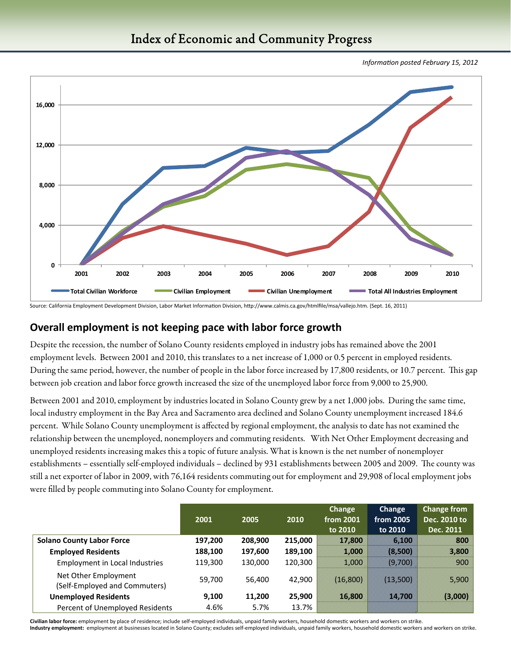

#### Index of Economic and Community Progress

*InformaƟon posted February 15, 2012* 

Source: California Employment Development Division, Labor Market Information Division, http://www.calmis.ca.gov/htmlfile/msa/vallejo.htm. (Sept. 16, 2011)

#### **Overall employment is not keeping pace with labor force growth**

Despite the recession, the number of Solano County residents employed in industry jobs has remained above the 2001 employment levels. Between 2001 and 2010, this translates to a net increase of 1,000 or 0.5 percent in employed residents. During the same period, however, the number of people in the labor force increased by 17,800 residents, or 10.7 percent. This gap between job creation and labor force growth increased the size of the unemployed labor force from 9,000 to 25,900.

Between 2001 and 2010, employment by industries located in Solano County grew by a net 1,000 jobs. During the same time, local industry employment in the Bay Area and Sacramento area declined and Solano County unemployment increased 184.6 percent. While Solano County unemployment is affected by regional employment, the analysis to date has not examined the relationship between the unemployed, nonemployers and commuting residents. With Net Other Employment decreasing and unemployed residents increasing makes this a topic of future analysis. What is known is the net number of nonemployer establishments – essentially self-employed individuals – declined by 931 establishments between 2005 and 2009. The county was still a net exporter of labor in 2009, with 76,164 residents commuting out for employment and 29,908 of local employment jobs were filled by people commuting into Solano County for employment.

|                                                       | 2001    | 2005    | 2010    | Change<br>from 2001<br>to 2010 | Change<br>from 2005<br>to 2010 | <b>Change from</b><br>Dec. 2010 to<br>Dec. 2011 |
|-------------------------------------------------------|---------|---------|---------|--------------------------------|--------------------------------|-------------------------------------------------|
| <b>Solano County Labor Force</b>                      | 197,200 | 208,900 | 215,000 | 17,800                         | 6,100                          | 800                                             |
| <b>Employed Residents</b>                             | 188,100 | 197,600 | 189,100 | 1,000                          | (8,500)                        | 3,800                                           |
| <b>Employment in Local Industries</b>                 | 119,300 | 130,000 | 120,300 | 1,000                          | (9,700)                        | 900                                             |
| Net Other Employment<br>(Self-Employed and Commuters) | 59,700  | 56,400  | 42,900  | (16,800)                       | (13,500)                       | 5,900                                           |
| <b>Unemployed Residents</b>                           | 9,100   | 11,200  | 25,900  | 16,800                         | 14,700                         | (3,000)                                         |
| Percent of Unemployed Residents                       | 4.6%    | 5.7%    | 13.7%   |                                |                                |                                                 |

Civilian labor force: employment by place of residence; include self-employed individuals, unpaid family workers, household domestic workers and workers on strike.

Industry employment: employment at businesses located in Solano County; excludes self-employed individuals, unpaid family workers, household domestic workers and workers on strike.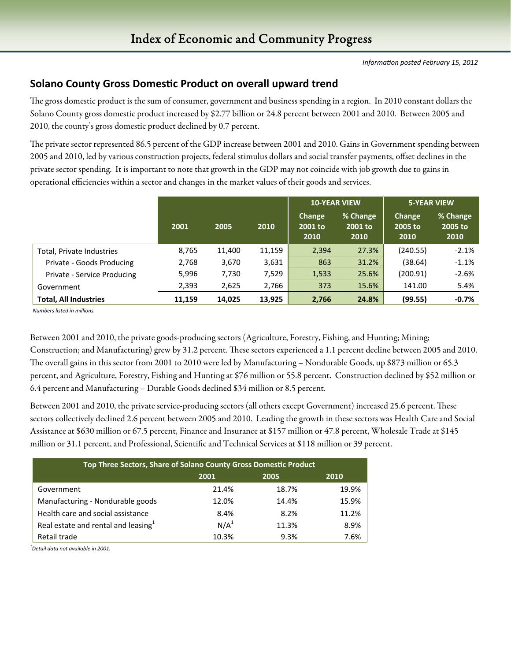#### **Solano County Gross DomesƟc Product on overall upward trend**

The gross domestic product is the sum of consumer, government and business spending in a region. In 2010 constant dollars the Solano County gross domestic product increased by \$2.77 billion or 24.8 percent between 2001 and 2010. Between 2005 and 2010, the county's gross domestic product declined by 0.7 percent.

The private sector represented 86.5 percent of the GDP increase between 2001 and 2010. Gains in Government spending between 2005 and 2010, led by various construction projects, federal stimulus dollars and social transfer payments, offset declines in the private sector spending. It is important to note that growth in the GDP may not coincide with job growth due to gains in operational efficiencies within a sector and changes in the market values of their goods and services.

|                              |        |        |        | <b>10-YEAR VIEW</b>              |                             | <b>5-YEAR VIEW</b>        |                             |  |
|------------------------------|--------|--------|--------|----------------------------------|-----------------------------|---------------------------|-----------------------------|--|
|                              | 2001   | 2005   | 2010   | <b>Change</b><br>2001 to<br>2010 | % Change<br>2001 to<br>2010 | Change<br>2005 to<br>2010 | % Change<br>2005 to<br>2010 |  |
| Total, Private Industries    | 8,765  | 11,400 | 11,159 | 2,394                            | 27.3%                       | (240.55)                  | $-2.1\%$                    |  |
| Private - Goods Producing    | 2,768  | 3,670  | 3,631  | 863                              | 31.2%                       | (38.64)                   | $-1.1%$                     |  |
| Private - Service Producing  | 5,996  | 7,730  | 7,529  | 1,533                            | 25.6%                       | (200.91)                  | $-2.6%$                     |  |
| Government                   | 2,393  | 2,625  | 2,766  | 373                              | 15.6%                       | 141.00                    | 5.4%                        |  |
| <b>Total, All Industries</b> | 11,159 | 14.025 | 13,925 | 2,766                            | 24.8%                       | (99.55)                   | -0.7%                       |  |

 *Numbers listed in millions.* 

Between 2001 and 2010, the private goods-producing sectors (Agriculture, Forestry, Fishing, and Hunting; Mining; Construction; and Manufacturing) grew by 31.2 percent. These sectors experienced a 1.1 percent decline between 2005 and 2010. The overall gains in this sector from 2001 to 2010 were led by Manufacturing – Nondurable Goods, up \$873 million or 65.3 percent, and Agriculture, Forestry, Fishing and Hunting at \$76 million or 55.8 percent. Construction declined by \$52 million or 6.4 percent and Manufacturing – Durable Goods declined \$34 million or 8.5 percent.

Between 2001 and 2010, the private service-producing sectors (all others except Government) increased 25.6 percent. These sectors collectively declined 2.6 percent between 2005 and 2010. Leading the growth in these sectors was Health Care and Social Assistance at \$630 million or 67.5 percent, Finance and Insurance at \$157 million or 47.8 percent, Wholesale Trade at \$145 million or 31.1 percent, and Professional, Scientific and Technical Services at \$118 million or 39 percent.

| Top Three Sectors, Share of Solano County Gross Domestic Product |                  |       |       |  |  |  |  |
|------------------------------------------------------------------|------------------|-------|-------|--|--|--|--|
|                                                                  | 2001             | 2005  | 2010  |  |  |  |  |
| Government                                                       | 21.4%            | 18.7% | 19.9% |  |  |  |  |
| Manufacturing - Nondurable goods                                 | 12.0%            | 14.4% | 15.9% |  |  |  |  |
| Health care and social assistance                                | 8.4%             | 8.2%  | 11.2% |  |  |  |  |
| Real estate and rental and leasing <sup>1</sup>                  | N/A <sup>1</sup> | 11.3% | 8.9%  |  |  |  |  |
| Retail trade                                                     | 10.3%            | 9.3%  | 7.6%  |  |  |  |  |

*1 Detail data not available in 2001.*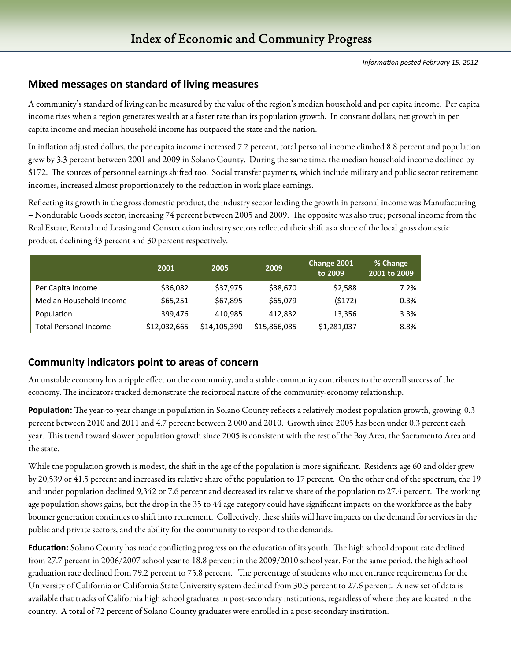#### **Mixed messages on standard of living measures**

A community's standard of living can be measured by the value of the region's median household and per capita income. Per capita income rises when a region generates wealth at a faster rate than its population growth. In constant dollars, net growth in per capita income and median household income has outpaced the state and the nation.

In inflation adjusted dollars, the per capita income increased 7.2 percent, total personal income climbed 8.8 percent and population grew by 3.3 percent between 2001 and 2009 in Solano County. During the same time, the median household income declined by \$172. The sources of personnel earnings shifted too. Social transfer payments, which include military and public sector retirement incomes, increased almost proportionately to the reduction in work place earnings.

Reflecting its growth in the gross domestic product, the industry sector leading the growth in personal income was Manufacturing – Nondurable Goods sector, increasing 74 percent between 2005 and 2009. The opposite was also true; personal income from the Real Estate, Rental and Leasing and Construction industry sectors reflected their shift as a share of the local gross domestic product, declining 43 percent and 30 percent respectively.

|                              | 2001         | 2005         | 2009         | Change 2001<br>to 2009 | % Change<br>2001 to 2009 |
|------------------------------|--------------|--------------|--------------|------------------------|--------------------------|
| Per Capita Income            | \$36,082     | \$37,975     | \$38,670     | \$2,588                | 7.2%                     |
| Median Household Income      | \$65,251     | \$67,895     | \$65,079     | (5172)                 | $-0.3%$                  |
| Population                   | 399.476      | 410.985      | 412.832      | 13,356                 | 3.3%                     |
| <b>Total Personal Income</b> | \$12,032,665 | \$14,105,390 | \$15,866,085 | \$1,281,037            | 8.8%                     |

#### **Community indicators point to areas of concern**

An unstable economy has a ripple effect on the community, and a stable community contributes to the overall success of the economy. The indicators tracked demonstrate the reciprocal nature of the community-economy relationship.

**Population:** The year-to-year change in population in Solano County reflects a relatively modest population growth, growing 0.3 percent between 2010 and 2011 and 4.7 percent between 2 000 and 2010. Growth since 2005 has been under 0.3 percent each year. This trend toward slower population growth since 2005 is consistent with the rest of the Bay Area, the Sacramento Area and the state.

While the population growth is modest, the shift in the age of the population is more significant. Residents age 60 and older grew by 20,539 or 41.5 percent and increased its relative share of the population to 17 percent. On the other end of the spectrum, the 19 and under population declined 9,342 or 7.6 percent and decreased its relative share of the population to 27.4 percent. The working age population shows gains, but the drop in the 35 to 44 age category could have significant impacts on the workforce as the baby boomer generation continues to shift into retirement. Collectively, these shifts will have impacts on the demand for services in the public and private sectors, and the ability for the community to respond to the demands.

**Education:** Solano County has made conflicting progress on the education of its youth. The high school dropout rate declined from 27.7 percent in 2006/2007 school year to 18.8 percent in the 2009/2010 school year. For the same period, the high school graduation rate declined from 79.2 percent to 75.8 percent. The percentage of students who met entrance requirements for the University of California or California State University system declined from 30.3 percent to 27.6 percent. A new set of data is available that tracks of California high school graduates in post-secondary institutions, regardless of where they are located in the country. A total of 72 percent of Solano County graduates were enrolled in a post-secondary institution.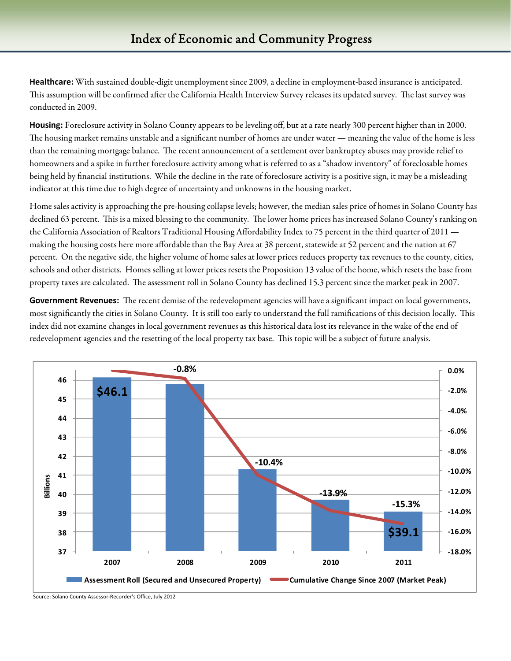**Healthcare:** With sustained double-digit unemployment since 2009, a decline in employment-based insurance is anticipated. This assumption will be confirmed after the California Health Interview Survey releases its updated survey. The last survey was conducted in 2009.

**Housing:** Foreclosure activity in Solano County appears to be leveling off, but at a rate nearly 300 percent higher than in 2000. The housing market remains unstable and a significant number of homes are under water — meaning the value of the home is less than the remaining mortgage balance. The recent announcement of a settlement over bankruptcy abuses may provide relief to homeowners and a spike in further foreclosure activity among what is referred to as a "shadow inventory" of foreclosable homes being held by financial institutions. While the decline in the rate of foreclosure activity is a positive sign, it may be a misleading indicator at this time due to high degree of uncertainty and unknowns in the housing market.

Home sales activity is approaching the pre-housing collapse levels; however, the median sales price of homes in Solano County has declined 63 percent. This is a mixed blessing to the community. The lower home prices has increased Solano County's ranking on the California Association of Realtors Traditional Housing Affordability Index to 75 percent in the third quarter of 2011 making the housing costs here more affordable than the Bay Area at 38 percent, statewide at 52 percent and the nation at 67 percent. On the negative side, the higher volume of home sales at lower prices reduces property tax revenues to the county, cities, schools and other districts. Homes selling at lower prices resets the Proposition 13 value of the home, which resets the base from property taxes are calculated. The assessment roll in Solano County has declined 15.3 percent since the market peak in 2007.

**Government Revenues:** The recent demise of the redevelopment agencies will have a significant impact on local governments, most significantly the cities in Solano County. It is still too early to understand the full ramifications of this decision locally. This index did not examine changes in local government revenues as this historical data lost its relevance in the wake of the end of redevelopment agencies and the resetting of the local property tax base. This topic will be a subject of future analysis.



Source: Solano County Assessor‐Recorder's Office, July 2012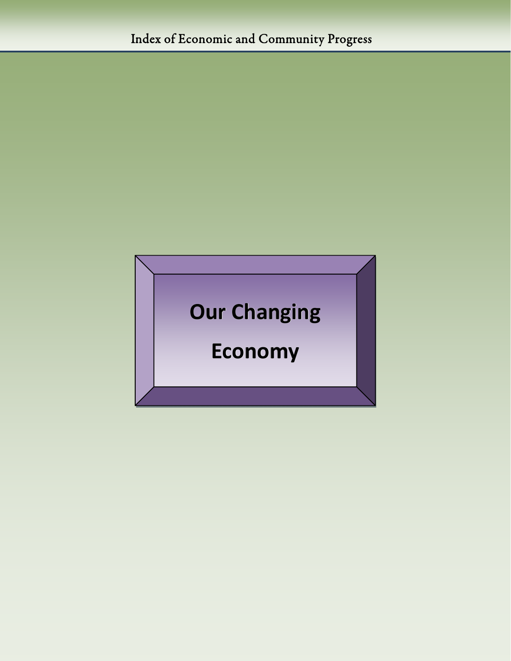# **Our Changing Economy**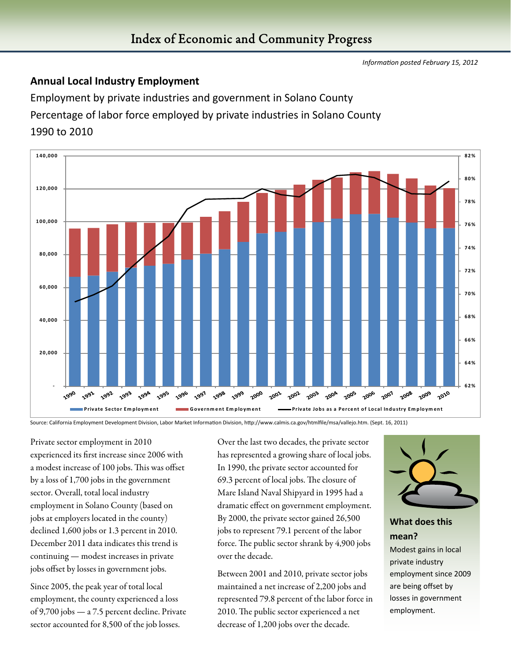#### **Annual Local Industry Employment**

Employment by private industries and government in Solano County Percentage of labor force employed by private industries in Solano County 1990 to 2010



Source: California Employment Development Division, Labor Market Information Division, http://www.calmis.ca.gov/htmlfile/msa/vallejo.htm. (Sept. 16, 2011)

Private sector employment in 2010 experienced its first increase since 2006 with a modest increase of 100 jobs. This was offset by a loss of 1,700 jobs in the government sector. Overall, total local industry employment in Solano County (based on jobs at employers located in the county) declined 1,600 jobs or 1.3 percent in 2010. December 2011 data indicates this trend is continuing — modest increases in private jobs offset by losses in government jobs.

Since 2005, the peak year of total local employment, the county experienced a loss of 9,700 jobs — a 7.5 percent decline. Private sector accounted for 8,500 of the job losses.

Over the last two decades, the private sector has represented a growing share of local jobs. In 1990, the private sector accounted for 69.3 percent of local jobs. The closure of Mare Island Naval Shipyard in 1995 had a dramatic effect on government employment. By 2000, the private sector gained 26,500 jobs to represent 79.1 percent of the labor force. The public sector shrank by 4,900 jobs over the decade.

Between 2001 and 2010, private sector jobs maintained a net increase of 2,200 jobs and represented 79.8 percent of the labor force in 2010. The public sector experienced a net decrease of 1,200 jobs over the decade.



#### **What does this mean?**

Modest gains in local private industry employment since 2009 are being offset by losses in government employment.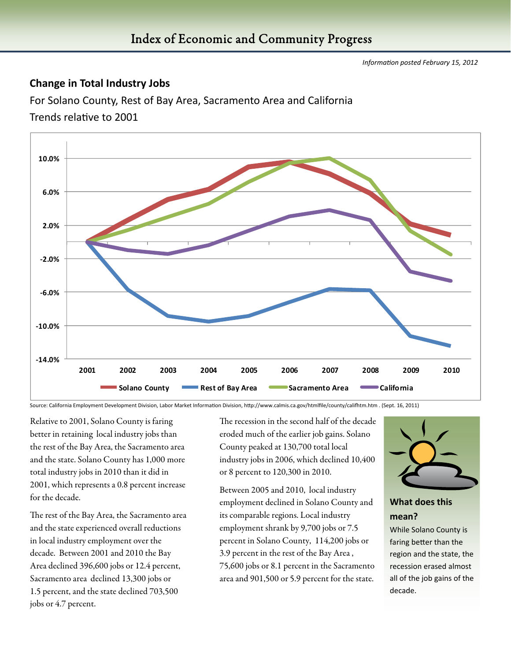#### **Change in Total Industry Jobs**

For Solano County, Rest of Bay Area, Sacramento Area and California

Trends relative to 2001



Source: California Employment Development Division, Labor Market Information Division, http://www.calmis.ca.gov/htmlfile/county/califhtm.htm . (Sept. 16, 2011)

Relative to 2001, Solano County is faring better in retaining local industry jobs than the rest of the Bay Area, the Sacramento area and the state. Solano County has 1,000 more total industry jobs in 2010 than it did in 2001, which represents a 0.8 percent increase for the decade.

The rest of the Bay Area, the Sacramento area and the state experienced overall reductions in local industry employment over the decade. Between 2001 and 2010 the Bay Area declined 396,600 jobs or 12.4 percent, Sacramento area declined 13,300 jobs or 1.5 percent, and the state declined 703,500 jobs or 4.7 percent.

The recession in the second half of the decade eroded much of the earlier job gains. Solano County peaked at 130,700 total local industry jobs in 2006, which declined 10,400 or 8 percent to 120,300 in 2010.

Between 2005 and 2010, local industry employment declined in Solano County and its comparable regions. Local industry employment shrank by 9,700 jobs or 7.5 percent in Solano County, 114,200 jobs or 3.9 percent in the rest of the Bay Area , 75,600 jobs or 8.1 percent in the Sacramento area and 901,500 or 5.9 percent for the state.



#### **What does this mean?**

While Solano County is faring better than the region and the state, the recession erased almost all of the job gains of the decade.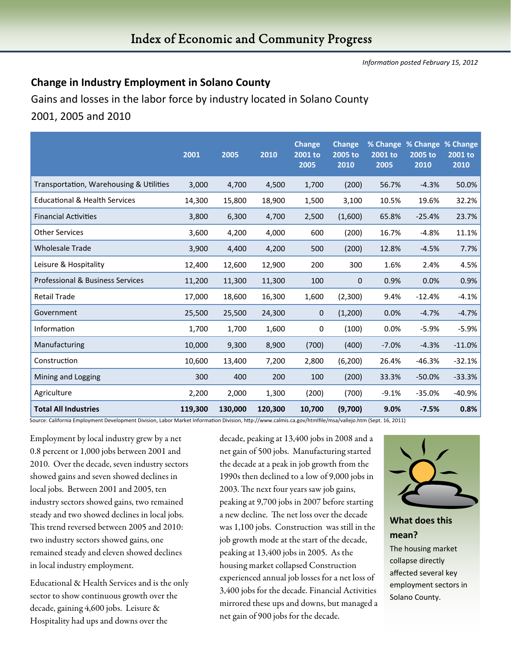#### **Change in Industry Employment in Solano County**

Gains and losses in the labor force by industry located in Solano County 2001, 2005 and 2010

|                                          | 2001    | 2005    | 2010    | <b>Change</b><br>2001 to<br>2005 | <b>Change</b><br>2005 to<br>2010 | 2001 to<br>2005 | % Change % Change % Change<br>2005 to<br>2010 | 2001 to<br>2010 |
|------------------------------------------|---------|---------|---------|----------------------------------|----------------------------------|-----------------|-----------------------------------------------|-----------------|
| Transportation, Warehousing & Utilities  | 3,000   | 4,700   | 4,500   | 1,700                            | (200)                            | 56.7%           | $-4.3%$                                       | 50.0%           |
| <b>Educational &amp; Health Services</b> | 14,300  | 15,800  | 18,900  | 1,500                            | 3,100                            | 10.5%           | 19.6%                                         | 32.2%           |
| <b>Financial Activities</b>              | 3,800   | 6,300   | 4,700   | 2,500                            | (1,600)                          | 65.8%           | $-25.4%$                                      | 23.7%           |
| <b>Other Services</b>                    | 3,600   | 4,200   | 4,000   | 600                              | (200)                            | 16.7%           | $-4.8%$                                       | 11.1%           |
| <b>Wholesale Trade</b>                   | 3,900   | 4,400   | 4,200   | 500                              | (200)                            | 12.8%           | $-4.5%$                                       | 7.7%            |
| Leisure & Hospitality                    | 12,400  | 12,600  | 12,900  | 200                              | 300                              | 1.6%            | 2.4%                                          | 4.5%            |
| Professional & Business Services         | 11,200  | 11,300  | 11,300  | 100                              | $\mathbf 0$                      | 0.9%            | 0.0%                                          | 0.9%            |
| <b>Retail Trade</b>                      | 17,000  | 18,600  | 16,300  | 1,600                            | (2,300)                          | 9.4%            | $-12.4%$                                      | $-4.1%$         |
| Government                               | 25,500  | 25,500  | 24,300  | 0                                | (1,200)                          | 0.0%            | $-4.7%$                                       | $-4.7%$         |
| Information                              | 1,700   | 1,700   | 1,600   | 0                                | (100)                            | 0.0%            | $-5.9%$                                       | $-5.9%$         |
| Manufacturing                            | 10,000  | 9,300   | 8,900   | (700)                            | (400)                            | $-7.0%$         | $-4.3%$                                       | $-11.0%$        |
| Construction                             | 10,600  | 13,400  | 7,200   | 2,800                            | (6, 200)                         | 26.4%           | $-46.3%$                                      | $-32.1%$        |
| Mining and Logging                       | 300     | 400     | 200     | 100                              | (200)                            | 33.3%           | $-50.0%$                                      | $-33.3%$        |
| Agriculture                              | 2,200   | 2,000   | 1,300   | (200)                            | (700)                            | $-9.1%$         | $-35.0%$                                      | $-40.9%$        |
| <b>Total All Industries</b>              | 119,300 | 130,000 | 120,300 | 10,700                           | (9,700)                          | 9.0%            | $-7.5%$                                       | 0.8%            |

Source: California Employment Development Division, Labor Market Information Division, http://www.calmis.ca.gov/htmlfile/msa/vallejo.htm (Sept. 16, 2011)

Employment by local industry grew by a net 0.8 percent or 1,000 jobs between 2001 and 2010. Over the decade, seven industry sectors showed gains and seven showed declines in local jobs. Between 2001 and 2005, ten industry sectors showed gains, two remained steady and two showed declines in local jobs. This trend reversed between 2005 and 2010: two industry sectors showed gains, one remained steady and eleven showed declines in local industry employment.

Educational & Health Services and is the only sector to show continuous growth over the decade, gaining 4,600 jobs. Leisure & Hospitality had ups and downs over the

decade, peaking at 13,400 jobs in 2008 and a net gain of 500 jobs. Manufacturing started the decade at a peak in job growth from the 1990s then declined to a low of 9,000 jobs in 2003. The next four years saw job gains, peaking at 9,700 jobs in 2007 before starting a new decline. The net loss over the decade was 1,100 jobs. Construction was still in the job growth mode at the start of the decade, peaking at 13,400 jobs in 2005. As the housing market collapsed Construction experienced annual job losses for a net loss of 3,400 jobs for the decade. Financial Activities mirrored these ups and downs, but managed a net gain of 900 jobs for the decade.



#### **What does this mean?**

The housing market collapse directly affected several key employment sectors in Solano County.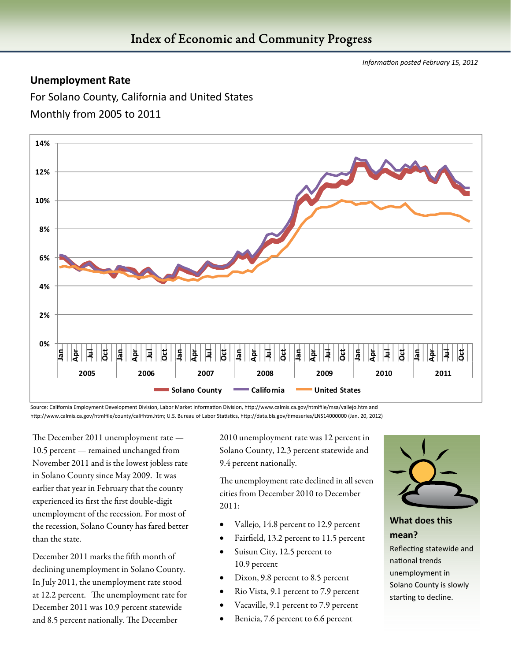#### **Unemployment Rate**

For Solano County, California and United States Monthly from 2005 to 2011



Source: California Employment Development Division, Labor Market Information Division, http://www.calmis.ca.gov/htmlfile/msa/vallejo.htm and http://www.calmis.ca.gov/htmlfile/county/califhtm.htm; U.S. Bureau of Labor Statistics, http://data.bls.gov/timeseries/LNS14000000 (Jan. 20, 2012)

The December 2011 unemployment rate — 10.5 percent — remained unchanged from November 2011 and is the lowest jobless rate in Solano County since May 2009. It was earlier that year in February that the county experienced its first the first double-digit unemployment of the recession. For most of the recession, Solano County has fared better than the state.

December 2011 marks the fifth month of declining unemployment in Solano County. In July 2011, the unemployment rate stood at 12.2 percent. The unemployment rate for December 2011 was 10.9 percent statewide and 8.5 percent nationally. The December

2010 unemployment rate was 12 percent in Solano County, 12.3 percent statewide and 9.4 percent nationally.

The unemployment rate declined in all seven cities from December 2010 to December 2011:

- Vallejo, 14.8 percent to 12.9 percent
- Fairfield, 13.2 percent to 11.5 percent
- Suisun City, 12.5 percent to 10.9 percent
- Dixon, 9.8 percent to 8.5 percent
- Rio Vista, 9.1 percent to 7.9 percent
- Vacaville, 9.1 percent to 7.9 percent
- Benicia, 7.6 percent to 6.6 percent



#### **What does this mean?**

Reflecting statewide and national trends unemployment in Solano County is slowly starting to decline.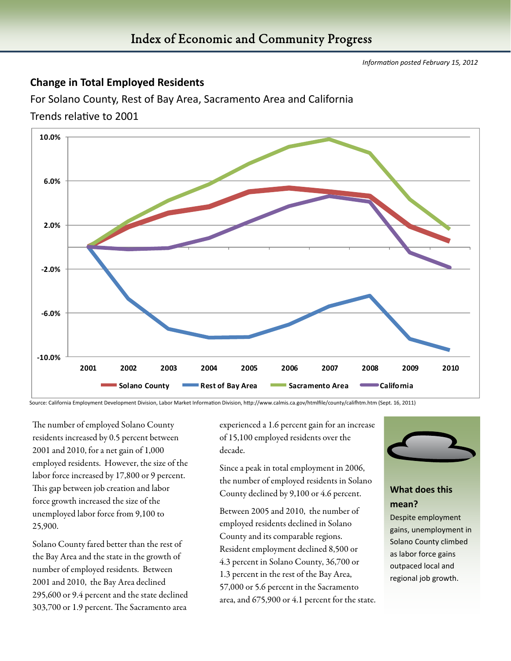#### **Change in Total Employed Residents**

For Solano County, Rest of Bay Area, Sacramento Area and California

Trends relative to 2001



Source: California Employment Development Division, Labor Market Information Division, http://www.calmis.ca.gov/htmlfile/county/califhtm.htm (Sept. 16, 2011)

The number of employed Solano County residents increased by 0.5 percent between 2001 and 2010, for a net gain of 1,000 employed residents. However, the size of the labor force increased by 17,800 or 9 percent. This gap between job creation and labor force growth increased the size of the unemployed labor force from 9,100 to 25,900.

Solano County fared better than the rest of the Bay Area and the state in the growth of number of employed residents. Between 2001 and 2010, the Bay Area declined 295,600 or 9.4 percent and the state declined 303,700 or 1.9 percent. The Sacramento area

experienced a 1.6 percent gain for an increase of 15,100 employed residents over the decade.

Since a peak in total employment in 2006, the number of employed residents in Solano County declined by 9,100 or 4.6 percent.

Between 2005 and 2010, the number of employed residents declined in Solano County and its comparable regions. Resident employment declined 8,500 or 4.3 percent in Solano County, 36,700 or 1.3 percent in the rest of the Bay Area, 57,000 or 5.6 percent in the Sacramento area, and 675,900 or 4.1 percent for the state.



#### **What does this mean?**

Despite employment gains, unemployment in Solano County climbed as labor force gains outpaced local and regional job growth.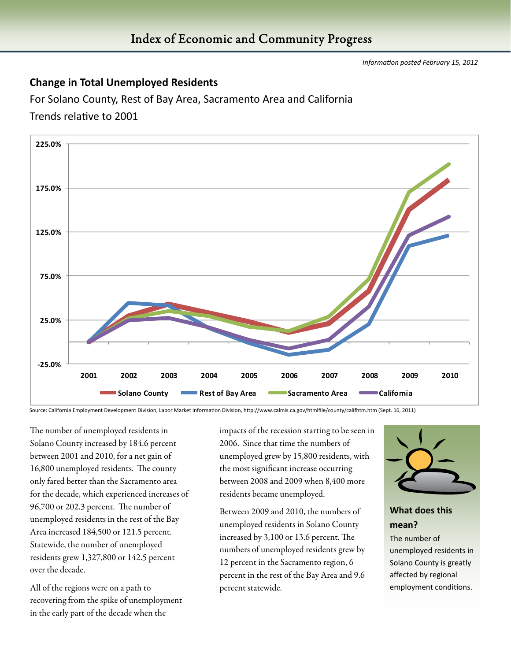#### **Change in Total Unemployed Residents**

For Solano County, Rest of Bay Area, Sacramento Area and California Trends relative to 2001



Source: California Employment Development Division, Labor Market Information Division, http://www.calmis.ca.gov/htmlfile/county/califhtm.htm (Sept. 16, 2011)

The number of unemployed residents in Solano County increased by 184.6 percent between 2001 and 2010, for a net gain of 16,800 unemployed residents. The county only fared better than the Sacramento area for the decade, which experienced increases of 96,700 or 202.3 percent. The number of unemployed residents in the rest of the Bay Area increased 184,500 or 121.5 percent. Statewide, the number of unemployed residents grew 1,327,800 or 142.5 percent over the decade.

All of the regions were on a path to recovering from the spike of unemployment in the early part of the decade when the

impacts of the recession starting to be seen in 2006. Since that time the numbers of unemployed grew by 15,800 residents, with the most significant increase occurring between 2008 and 2009 when 8,400 more residents became unemployed.

Between 2009 and 2010, the numbers of unemployed residents in Solano County increased by 3,100 or 13.6 percent. The numbers of unemployed residents grew by 12 percent in the Sacramento region, 6 percent in the rest of the Bay Area and 9.6 percent statewide.



#### **What does this mean?**

The number of unemployed residents in Solano County is greatly affected by regional employment conditions.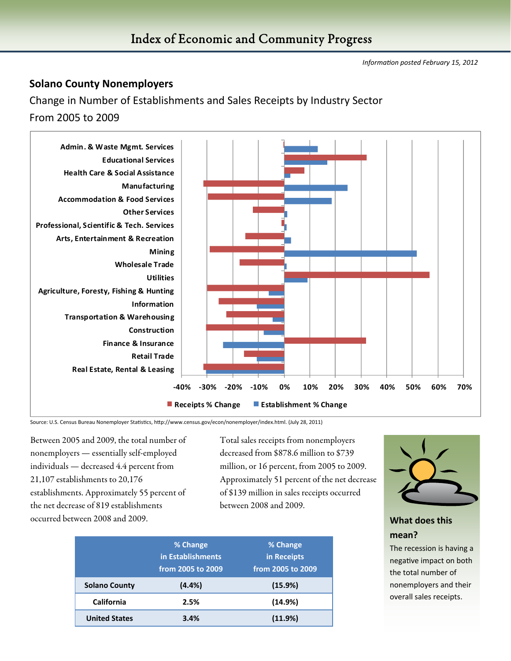#### **Solano County Nonemployers**

Change in Number of Establishments and Sales Receipts by Industry Sector

From 2005 to 2009



Source: U.S. Census Bureau Nonemployer Statistics, http://www.census.gov/econ/nonemployer/index.html. (July 28, 2011)

Between 2005 and 2009, the total number of nonemployers — essentially self-employed individuals — decreased 4.4 percent from 21,107 establishments to 20,176 establishments. Approximately 55 percent of the net decrease of 819 establishments occurred between 2008 and 2009.

Total sales receipts from nonemployers decreased from \$878.6 million to \$739 million, or 16 percent, from 2005 to 2009. Approximately 51 percent of the net decrease of \$139 million in sales receipts occurred between 2008 and 2009.

|                      | % Change<br>in Establishments | % Change<br>in Receipts |
|----------------------|-------------------------------|-------------------------|
|                      | from 2005 to 2009             | from 2005 to 2009       |
| <b>Solano County</b> | $(4.4\%)$                     | (15.9%)                 |
| California           | 2.5%                          | (14.9%)                 |
| <b>United States</b> | 3.4%                          | (11.9%)                 |



#### **What does this mean?**

The recession is having a negative impact on both the total number of nonemployers and their overall sales receipts.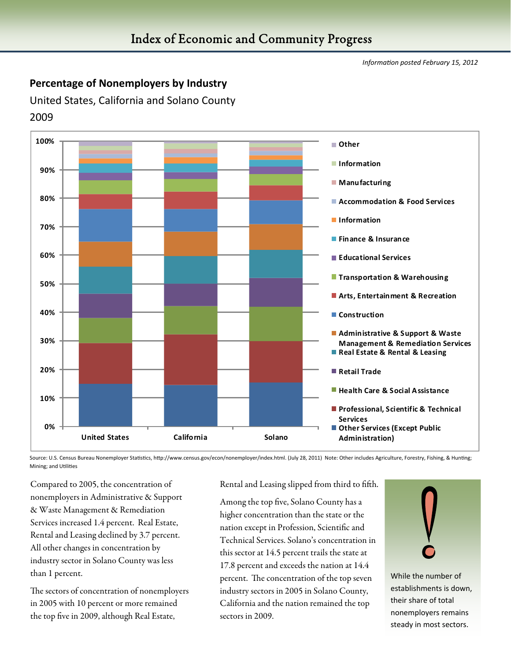#### **Percentage of Nonemployers by Industry**

United States, California and Solano County 2009



Source: U.S. Census Bureau Nonemployer Statistics, http://www.census.gov/econ/nonemployer/index.html. (July 28, 2011) Note: Other includes Agriculture, Forestry, Fishing, & Hunting; Mining; and Utilities

Compared to 2005, the concentration of nonemployers in Administrative & Support & Waste Management & Remediation Services increased 1.4 percent. Real Estate, Rental and Leasing declined by 3.7 percent. All other changes in concentration by industry sector in Solano County was less than 1 percent.

The sectors of concentration of nonemployers in 2005 with 10 percent or more remained the top five in 2009, although Real Estate,

Rental and Leasing slipped from third to fifth.

Among the top five, Solano County has a higher concentration than the state or the nation except in Profession, Scientific and Technical Services. Solano's concentration in this sector at 14.5 percent trails the state at 17.8 percent and exceeds the nation at 14.4 percent. The concentration of the top seven industry sectors in 2005 in Solano County, California and the nation remained the top sectors in 2009.



While the number of establishments is down, their share of total nonemployers remains steady in most sectors.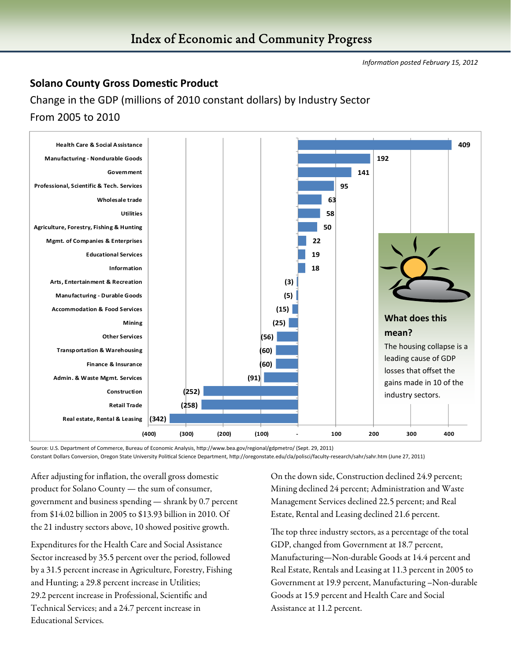#### **Solano County Gross Domestic Product**

Change in the GDP (millions of 2010 constant dollars) by Industry Sector From 2005 to 2010



Source: U.S. Department of Commerce, Bureau of Economic Analysis, http://www.bea.gov/regional/gdpmetro/ (Sept. 29, 2011) Constant Dollars Conversion, Oregon State University Political Science Department, http://oregonstate.edu/cla/polisci/faculty-research/sahr/sahr.htm (June 27, 2011)

After adjusting for inflation, the overall gross domestic product for Solano County — the sum of consumer, government and business spending — shrank by 0.7 percent from \$14.02 billion in 2005 to \$13.93 billion in 2010. Of the 21 industry sectors above, 10 showed positive growth.

Expenditures for the Health Care and Social Assistance Sector increased by 35.5 percent over the period, followed by a 31.5 percent increase in Agriculture, Forestry, Fishing and Hunting; a 29.8 percent increase in Utilities; 29.2 percent increase in Professional, Scientific and Technical Services; and a 24.7 percent increase in Educational Services.

On the down side, Construction declined 24.9 percent; Mining declined 24 percent; Administration and Waste Management Services declined 22.5 percent; and Real Estate, Rental and Leasing declined 21.6 percent.

The top three industry sectors, as a percentage of the total GDP, changed from Government at 18.7 percent, Manufacturing—Non-durable Goods at 14.4 percent and Real Estate, Rentals and Leasing at 11.3 percent in 2005 to Government at 19.9 percent, Manufacturing –Non-durable Goods at 15.9 percent and Health Care and Social Assistance at 11.2 percent.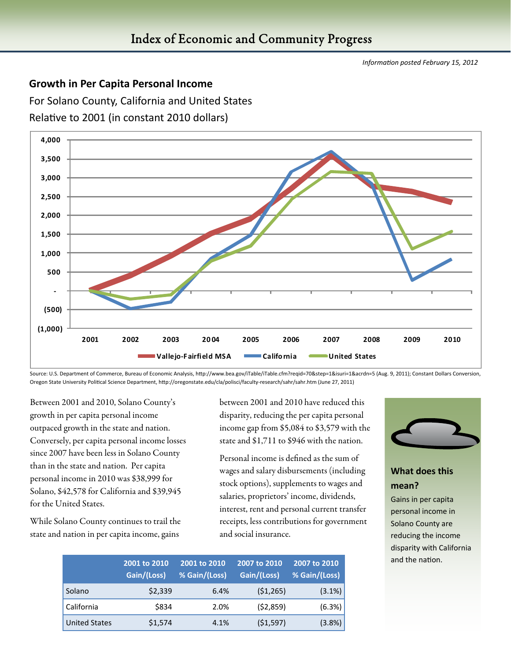#### **Growth in Per Capita Personal Income**

For Solano County, California and United States



Relative to 2001 (in constant 2010 dollars)

Source: U.S. Department of Commerce, Bureau of Economic Analysis, http://www.bea.gov/iTable/iTable.cfm?reqid=70&step=1&isuri=1&acrdn=5 (Aug. 9, 2011); Constant Dollars Conversion, Oregon State University Political Science Department, http://oregonstate.edu/cla/polisci/faculty-research/sahr/sahr.htm (June 27, 2011)

Between 2001 and 2010, Solano County's growth in per capita personal income outpaced growth in the state and nation. Conversely, per capita personal income losses since 2007 have been less in Solano County than in the state and nation. Per capita personal income in 2010 was \$38,999 for Solano, \$42,578 for California and \$39,945 for the United States.

While Solano County continues to trail the state and nation in per capita income, gains

between 2001 and 2010 have reduced this disparity, reducing the per capita personal income gap from \$5,084 to \$3,579 with the state and \$1,711 to \$946 with the nation.

Personal income is defined as the sum of wages and salary disbursements (including stock options), supplements to wages and salaries, proprietors' income, dividends, interest, rent and personal current transfer receipts, less contributions for government and social insurance.

|                      | 2001 to 2010<br>Gain/(Loss) | 2001 to 2010<br>% Gain/(Loss) | 2007 to 2010<br>Gain/(Loss) | 2007 to 2010<br>% Gain/(Loss) |
|----------------------|-----------------------------|-------------------------------|-----------------------------|-------------------------------|
| Solano               | \$2,339                     | 6.4%                          | (51, 265)                   | (3.1%)                        |
| California           | \$834                       | 2.0%                          | (52,859)                    | (6.3%)                        |
| <b>United States</b> | \$1,574                     | 4.1%                          | (51, 597)                   | (3.8%)                        |



#### **What does this mean?**

Gains in per capita personal income in Solano County are reducing the income disparity with California and the nation.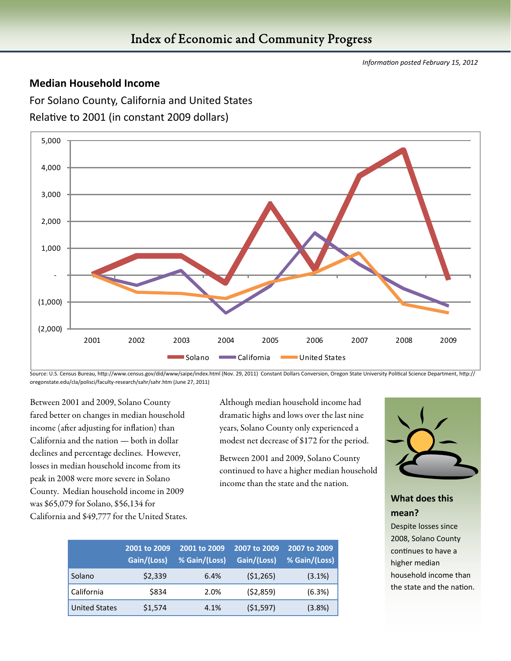#### **Median Household Income**

For Solano County, California and United States Relative to 2001 (in constant 2009 dollars)



Source: U.S. Census Bureau, http://www.census.gov/did/www/saipe/index.html (Nov. 29, 2011) Constant Dollars Conversion, Oregon State University Political Science Department, http:// oregonstate.edu/cla/polisci/faculty‐research/sahr/sahr.htm (June 27, 2011)

Between 2001 and 2009, Solano County fared better on changes in median household income (after adjusting for inflation) than California and the nation — both in dollar declines and percentage declines. However, losses in median household income from its peak in 2008 were more severe in Solano County. Median household income in 2009 was \$65,079 for Solano, \$56,134 for California and \$49,777 for the United States.

Although median household income had dramatic highs and lows over the last nine years, Solano County only experienced a modest net decrease of \$172 for the period.

Between 2001 and 2009, Solano County continued to have a higher median household income than the state and the nation.

|                      | 2001 to 2009<br>Gain/(Loss) | 2001 to 2009<br>% Gain/(Loss) | 2007 to 2009<br>Gain/(Loss) | 2007 to 2009<br>% Gain/(Loss) |
|----------------------|-----------------------------|-------------------------------|-----------------------------|-------------------------------|
| Solano               | \$2,339                     | 6.4%                          | (51, 265)                   | (3.1%)                        |
| California           | \$834                       | 2.0%                          | (52,859)                    | (6.3%)                        |
| <b>United States</b> | \$1,574                     | 4.1%                          | (51, 597)                   | (3.8%)                        |



#### **What does this mean?**

Despite losses since 2008, Solano County continues to have a higher median household income than the state and the nation.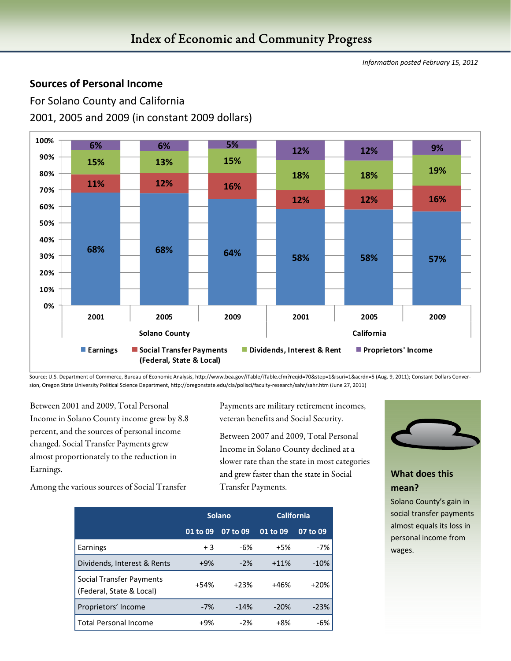#### **Sources of Personal Income**

For Solano County and California 2001, 2005 and 2009 (in constant 2009 dollars)



Source: U.S. Department of Commerce, Bureau of Economic Analysis, http://www.bea.gov/iTable/iTable.cfm?reqid=70&step=1&isuri=1&acrdn=5 (Aug. 9, 2011); Constant Dollars Conversion, Oregon State University Political Science Department, http://oregonstate.edu/cla/polisci/faculty-research/sahr/sahr.htm (June 27, 2011)

Between 2001 and 2009, Total Personal Income in Solano County income grew by 8.8 percent, and the sources of personal income changed. Social Transfer Payments grew almost proportionately to the reduction in Earnings.

Payments are military retirement incomes, veteran benefits and Social Security.

Between 2007 and 2009, Total Personal Income in Solano County declined at a slower rate than the state in most categories and grew faster than the state in Social Transfer Payments.



#### **What does this mean?**

Solano County's gain in social transfer payments almost equals its loss in personal income from wages.

Among the various sources of Social Transfer

|                                                      | <b>Solano</b> |          | <b>California</b> |          |
|------------------------------------------------------|---------------|----------|-------------------|----------|
|                                                      | 01 to 09      | 07 to 09 | 01 to 09          | 07 to 09 |
| Earnings                                             | $+3$          | $-6%$    | $+5%$             | $-7%$    |
| Dividends, Interest & Rents                          | $+9%$         | $-2%$    | $+11%$            | $-10%$   |
| Social Transfer Payments<br>(Federal, State & Local) | $+54%$        | $+23%$   | +46%              | $+20%$   |
| Proprietors' Income                                  | $-7%$         | $-14%$   | $-20%$            | $-23%$   |
| <b>Total Personal Income</b>                         | +9%           | $-2%$    | +8%               | $-6%$    |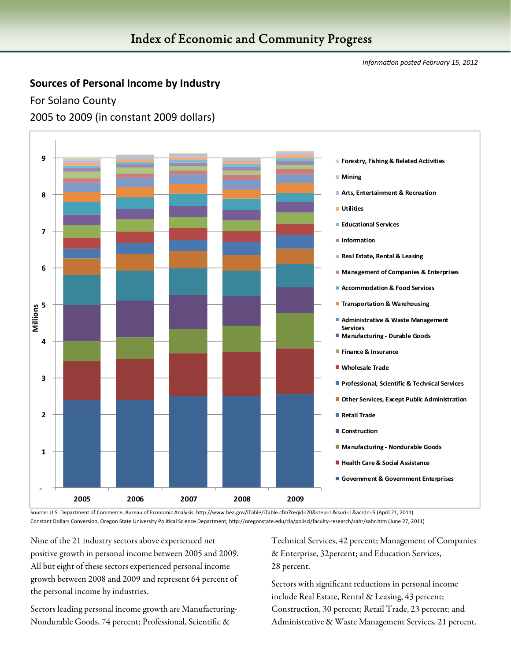#### **Sources of Personal Income by Industry**

For Solano County

2005 to 2009 (in constant 2009 dollars)



Source: U.S. Department of Commerce, Bureau of Economic Analysis, hƩp://www.bea.gov/iTable/iTable.cfm?reqid=70&step=1&isuri=1&acrdn=5 (April 21, 2011) Constant Dollars Conversion, Oregon State University Political Science Department, http://oregonstate.edu/cla/polisci/faculty-research/sahr/sahr.htm (June 27, 2011)

Nine of the 21 industry sectors above experienced net positive growth in personal income between 2005 and 2009. All but eight of these sectors experienced personal income growth between 2008 and 2009 and represent 64 percent of the personal income by industries.

Sectors leading personal income growth are Manufacturing-Nondurable Goods, 74 percent; Professional, Scientific &

Technical Services, 42 percent; Management of Companies & Enterprise, 32percent; and Education Services, 28 percent.

Sectors with significant reductions in personal income include Real Estate, Rental & Leasing, 43 percent; Construction, 30 percent; Retail Trade, 23 percent; and Administrative & Waste Management Services, 21 percent.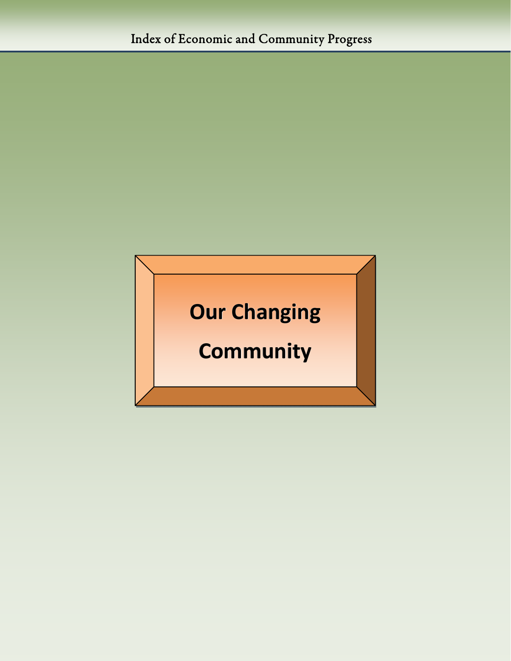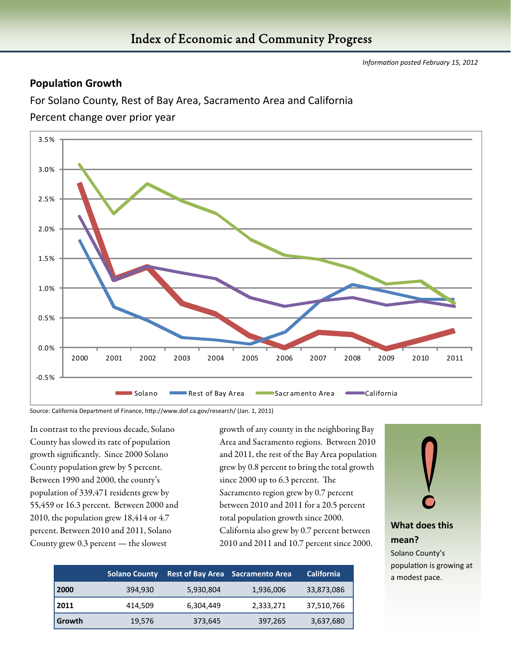#### **Population Growth**

For Solano County, Rest of Bay Area, Sacramento Area and California

Percent change over prior year



Source: California Department of Finance, http://www.dof.ca.gov/research/ (Jan. 1, 2011)

In contrast to the previous decade, Solano County has slowed its rate of population growth significantly. Since 2000 Solano County population grew by 5 percent. Between 1990 and 2000, the county's population of 339,471 residents grew by 55,459 or 16.3 percent. Between 2000 and 2010, the population grew 18,414 or 4.7 percent. Between 2010 and 2011, Solano County grew 0.3 percent — the slowest

growth of any county in the neighboring Bay Area and Sacramento regions. Between 2010 and 2011, the rest of the Bay Area population grew by 0.8 percent to bring the total growth since 2000 up to 6.3 percent. The Sacramento region grew by 0.7 percent between 2010 and 2011 for a 20.5 percent total population growth since 2000. California also grew by 0.7 percent between 2010 and 2011 and 10.7 percent since 2000.

|        | <b>Solano County</b> |           | <b>Rest of Bay Area</b> Sacramento Area | <b>California</b> |
|--------|----------------------|-----------|-----------------------------------------|-------------------|
| 2000   | 394,930              | 5,930,804 | 1,936,006                               | 33,873,086        |
| 2011   | 414,509              | 6,304,449 | 2,333,271                               | 37,510,766        |
| Growth | 19,576               | 373,645   | 397,265                                 | 3,637,680         |

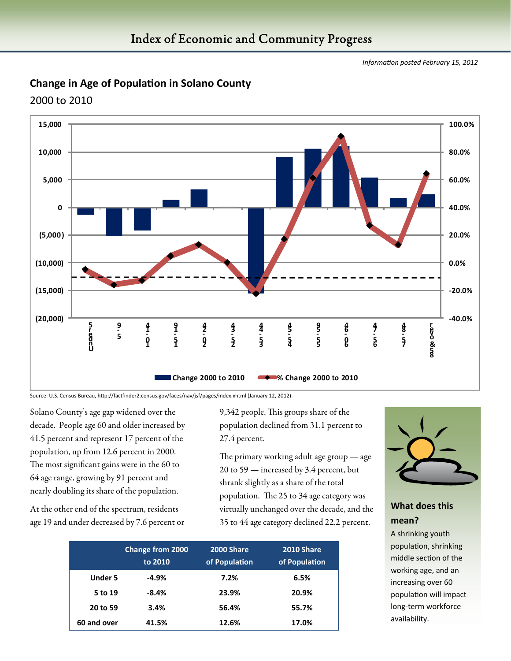#### **Change in Age of PopulaƟon in Solano County**

2000 to 2010



Source: U.S. Census Bureau, http://factfinder2.census.gov/faces/nav/jsf/pages/index.xhtml (January 12, 2012)

Solano County's age gap widened over the decade. People age 60 and older increased by 41.5 percent and represent 17 percent of the population, up from 12.6 percent in 2000. The most significant gains were in the 60 to 64 age range, growing by 91 percent and nearly doubling its share of the population.

At the other end of the spectrum, residents age 19 and under decreased by 7.6 percent or

9,342 people. This groups share of the population declined from 31.1 percent to 27.4 percent.

The primary working adult age group — age 20 to 59 — increased by 3.4 percent, but shrank slightly as a share of the total population. The 25 to 34 age category was virtually unchanged over the decade, and the 35 to 44 age category declined 22.2 percent.

|                | <b>Change from 2000</b><br>to 2010 | <b>2000 Share</b><br>of Population | 2010 Share<br>of Population |
|----------------|------------------------------------|------------------------------------|-----------------------------|
| <b>Under 5</b> | $-4.9%$                            | 7.2%                               | 6.5%                        |
| 5 to 19        | $-8.4%$                            | 23.9%                              | 20.9%                       |
| 20 to 59       | 3.4%                               | 56.4%                              | 55.7%                       |
| 60 and over    | 41.5%                              | 12.6%                              | 17.0%                       |



#### **What does this mean?**

A shrinking youth population, shrinking middle section of the working age, and an increasing over 60 population will impact long‐term workforce availability.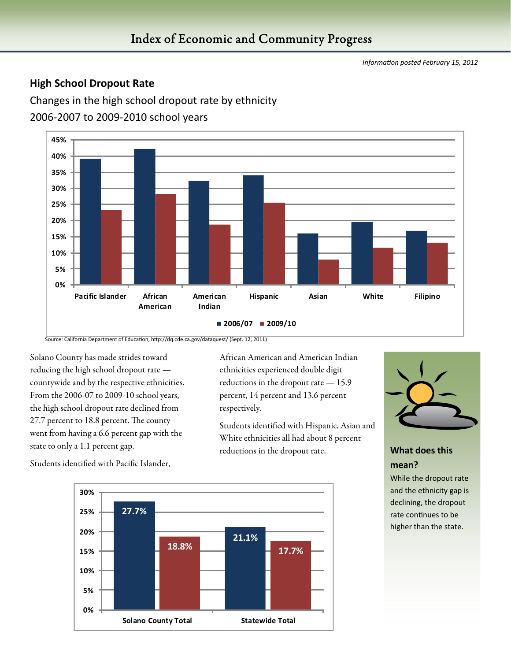#### **High School Dropout Rate**

Changes in the high school dropout rate by ethnicity

2006‐2007 to 2009‐2010 school years



Source: California Department of Education, http://dq.cde.ca.gov/dataquest/ (Sept. 12, 2011)

Solano County has made strides toward reducing the high school dropout rate countywide and by the respective ethnicities. From the 2006-07 to 2009-10 school years, the high school dropout rate declined from 27.7 percent to 18.8 percent. The county went from having a 6.6 percent gap with the state to only a 1.1 percent gap.

Students identified with Pacific Islander,

African American and American Indian ethnicities experienced double digit reductions in the dropout rate — 15.9 percent, 14 percent and 13.6 percent respectively.

Students identified with Hispanic, Asian and White ethnicities all had about 8 percent reductions in the dropout rate.



#### **What does this mean?**

While the dropout rate and the ethnicity gap is declining, the dropout rate continues to be higher than the state.

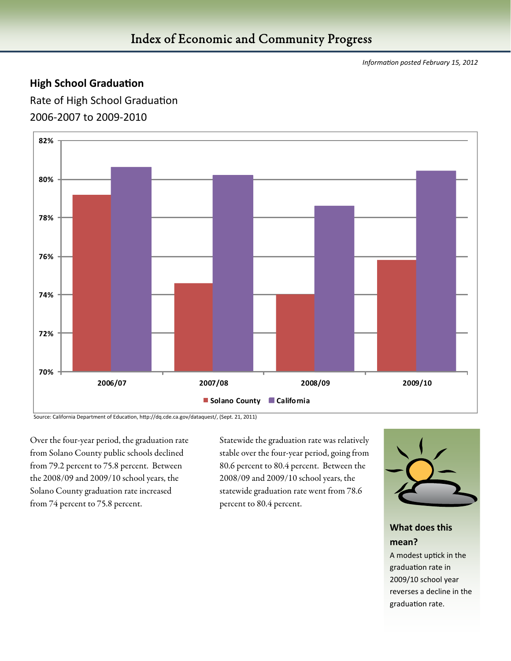#### **High School Graduation**

Rate of High School Graduation 2006‐2007 to 2009‐2010



Source: California Department of Education, http://dq.cde.ca.gov/dataquest/, (Sept. 21, 2011)

Over the four-year period, the graduation rate from Solano County public schools declined from 79.2 percent to 75.8 percent. Between the 2008/09 and 2009/10 school years, the Solano County graduation rate increased from 74 percent to 75.8 percent.

Statewide the graduation rate was relatively stable over the four-year period, going from 80.6 percent to 80.4 percent. Between the 2008/09 and 2009/10 school years, the statewide graduation rate went from 78.6 percent to 80.4 percent.



#### **What does this mean?**

A modest uptick in the graduation rate in 2009/10 school year reverses a decline in the graduation rate.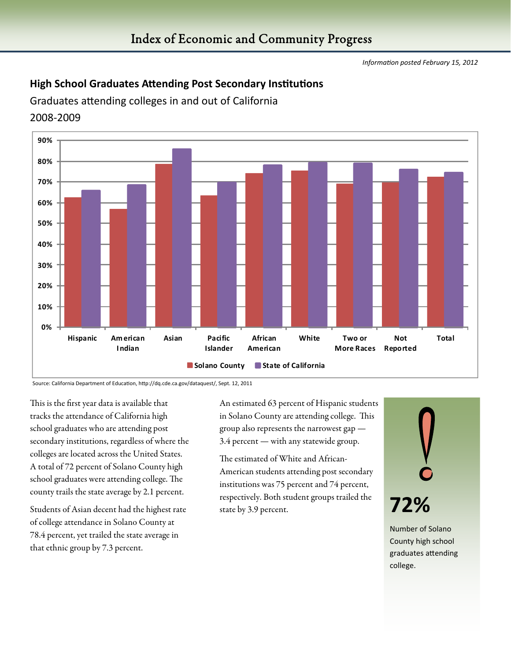#### **High School Graduates Attending Post Secondary Institutions**

Graduates attending colleges in and out of California

#### 2008‐2009



Source: California Department of Education, http://dq.cde.ca.gov/dataquest/, Sept. 12, 2011

This is the first year data is available that tracks the attendance of California high school graduates who are attending post secondary institutions, regardless of where the colleges are located across the United States. A total of 72 percent of Solano County high school graduates were attending college. The county trails the state average by 2.1 percent.

Students of Asian decent had the highest rate of college attendance in Solano County at 78.4 percent, yet trailed the state average in that ethnic group by 7.3 percent.

An estimated 63 percent of Hispanic students in Solano County are attending college. This group also represents the narrowest gap — 3.4 percent — with any statewide group.

The estimated of White and African-American students attending post secondary institutions was 75 percent and 74 percent, respectively. Both student groups trailed the state by 3.9 percent.



County high school graduates attending college.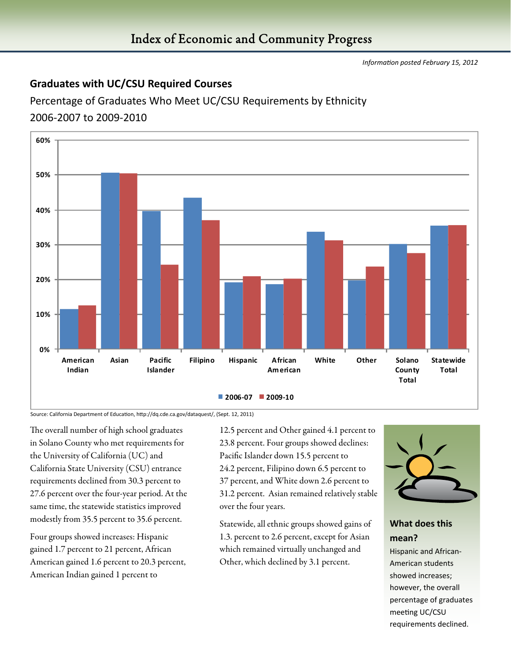#### Index of Economic and Community Progress

*InformaƟon posted February 15, 2012* 

#### **Graduates with UC/CSU Required Courses**

Percentage of Graduates Who Meet UC/CSU Requirements by Ethnicity 2006‐2007 to 2009‐2010



Source: California Department of Education, http://dq.cde.ca.gov/dataquest/, (Sept. 12, 2011)

The overall number of high school graduates in Solano County who met requirements for the University of California (UC) and California State University (CSU) entrance requirements declined from 30.3 percent to 27.6 percent over the four-year period. At the same time, the statewide statistics improved modestly from 35.5 percent to 35.6 percent.

Four groups showed increases: Hispanic gained 1.7 percent to 21 percent, African American gained 1.6 percent to 20.3 percent, American Indian gained 1 percent to

12.5 percent and Other gained 4.1 percent to 23.8 percent. Four groups showed declines: Pacific Islander down 15.5 percent to 24.2 percent, Filipino down 6.5 percent to 37 percent, and White down 2.6 percent to 31.2 percent. Asian remained relatively stable over the four years.

Statewide, all ethnic groups showed gains of 1.3. percent to 2.6 percent, except for Asian which remained virtually unchanged and Other, which declined by 3.1 percent.



#### **What does this mean?**

Hispanic and African‐ American students showed increases; however, the overall percentage of graduates meeting UC/CSU requirements declined.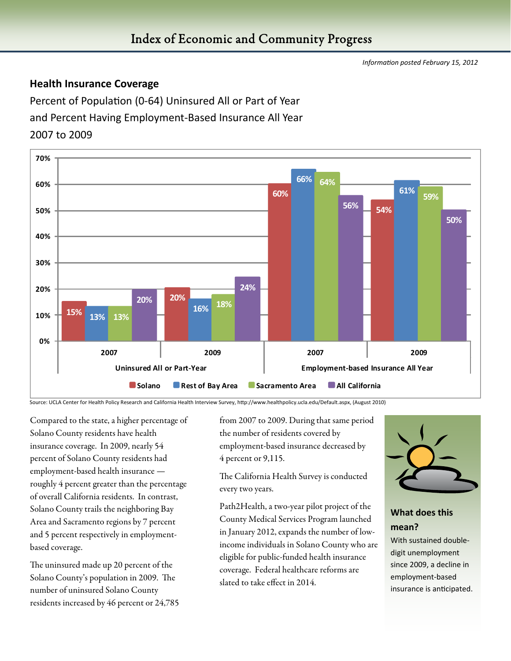#### **Health Insurance Coverage**

Percent of Population (0-64) Uninsured All or Part of Year and Percent Having Employment‐Based Insurance All Year 2007 to 2009



Source: UCLA Center for Health Policy Research and California Health Interview Survey, hƩp://www.healthpolicy.ucla.edu/Default.aspx, (August 2010)

Compared to the state, a higher percentage of Solano County residents have health insurance coverage. In 2009, nearly 54 percent of Solano County residents had employment-based health insurance roughly 4 percent greater than the percentage of overall California residents. In contrast, Solano County trails the neighboring Bay Area and Sacramento regions by 7 percent and 5 percent respectively in employmentbased coverage.

The uninsured made up 20 percent of the Solano County's population in 2009. The number of uninsured Solano County residents increased by 46 percent or 24,785 from 2007 to 2009. During that same period the number of residents covered by employment-based insurance decreased by 4 percent or 9,115.

The California Health Survey is conducted every two years.

Path2Health, a two-year pilot project of the County Medical Services Program launched in January 2012, expands the number of lowincome individuals in Solano County who are eligible for public-funded health insurance coverage. Federal healthcare reforms are slated to take effect in 2014.



#### **What does this mean?**

With sustained doubledigit unemployment since 2009, a decline in employment‐based insurance is anticipated.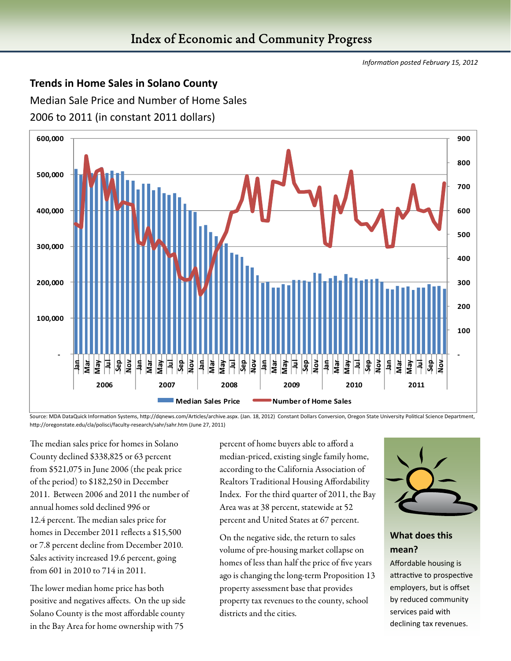#### **Trends in Home Sales in Solano County**

Median Sale Price and Number of Home Sales 2006 to 2011 (in constant 2011 dollars)



Source: MDA DataQuick Information Systems, http://dqnews.com/Articles/archive.aspx. (Jan. 18, 2012) Constant Dollars Conversion, Oregon State University Political Science Department, http://oregonstate.edu/cla/polisci/faculty-research/sahr/sahr.htm (June 27, 2011)

The median sales price for homes in Solano County declined \$338,825 or 63 percent from \$521,075 in June 2006 (the peak price of the period) to \$182,250 in December 2011. Between 2006 and 2011 the number of annual homes sold declined 996 or 12.4 percent. The median sales price for homes in December 2011 reflects a \$15,500 or 7.8 percent decline from December 2010. Sales activity increased 19.6 percent, going from 601 in 2010 to 714 in 2011.

The lower median home price has both positive and negatives affects. On the up side Solano County is the most affordable county in the Bay Area for home ownership with 75

percent of home buyers able to afford a median-priced, existing single family home, according to the California Association of Realtors Traditional Housing Affordability Index. For the third quarter of 2011, the Bay Area was at 38 percent, statewide at 52 percent and United States at 67 percent.

On the negative side, the return to sales volume of pre-housing market collapse on homes of less than half the price of five years ago is changing the long-term Proposition 13 property assessment base that provides property tax revenues to the county, school districts and the cities.



#### **What does this mean?**

Affordable housing is attractive to prospective employers, but is offset by reduced community services paid with declining tax revenues.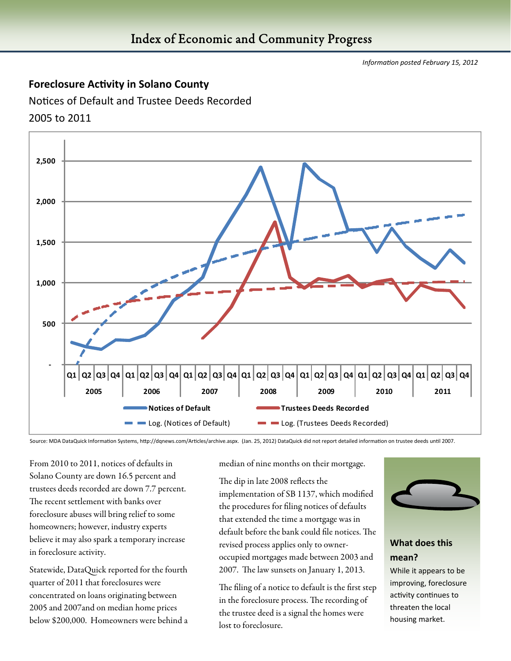#### **Foreclosure Activity in Solano County**

Notices of Default and Trustee Deeds Recorded 2005 to 2011



Source: MDA DataQuick Information Systems, http://dqnews.com/Articles/archive.aspx. (Jan. 25, 2012) DataQuick did not report detailed information on trustee deeds until 2007.

From 2010 to 2011, notices of defaults in Solano County are down 16.5 percent and trustees deeds recorded are down 7.7 percent. The recent settlement with banks over foreclosure abuses will bring relief to some homeowners; however, industry experts believe it may also spark a temporary increase in foreclosure activity.

Statewide, DataQuick reported for the fourth quarter of 2011 that foreclosures were concentrated on loans originating between 2005 and 2007and on median home prices below \$200,000. Homeowners were behind a median of nine months on their mortgage.

The dip in late 2008 reflects the implementation of SB 1137, which modified the procedures for filing notices of defaults that extended the time a mortgage was in default before the bank could file notices. The revised process applies only to owneroccupied mortgages made between 2003 and 2007. The law sunsets on January 1, 2013.

The filing of a notice to default is the first step in the foreclosure process. The recording of the trustee deed is a signal the homes were lost to foreclosure.



#### **What does this mean?**

While it appears to be improving, foreclosure activity continues to threaten the local housing market.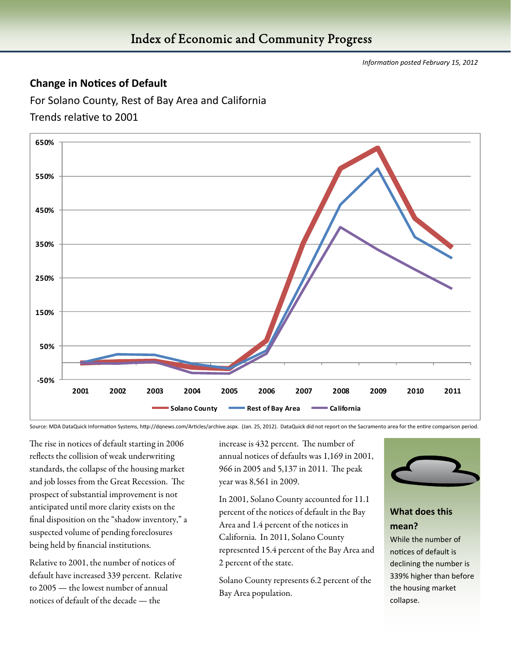#### **Change in NoƟces of Default**

For Solano County, Rest of Bay Area and California

#### Trends relative to 2001



Source: MDA DataQuick Information Systems, http://dqnews.com/Articles/archive.aspx. (Jan. 25, 2012). DataQuick did not report on the Sacramento area for the entire comparison period.

The rise in notices of default starting in 2006 reflects the collision of weak underwriting standards, the collapse of the housing market and job losses from the Great Recession. The prospect of substantial improvement is not anticipated until more clarity exists on the final disposition on the "shadow inventory," a suspected volume of pending foreclosures being held by financial institutions.

Relative to 2001, the number of notices of default have increased 339 percent. Relative to 2005 — the lowest number of annual notices of default of the decade — the

increase is 432 percent. The number of annual notices of defaults was 1,169 in 2001, 966 in 2005 and 5,137 in 2011. The peak year was 8,561 in 2009.

In 2001, Solano County accounted for 11.1 percent of the notices of default in the Bay Area and 1.4 percent of the notices in California. In 2011, Solano County represented 15.4 percent of the Bay Area and 2 percent of the state.

Solano County represents 6.2 percent of the Bay Area population.



#### **What does this mean?**

While the number of notices of default is declining the number is 339% higher than before the housing market collapse.